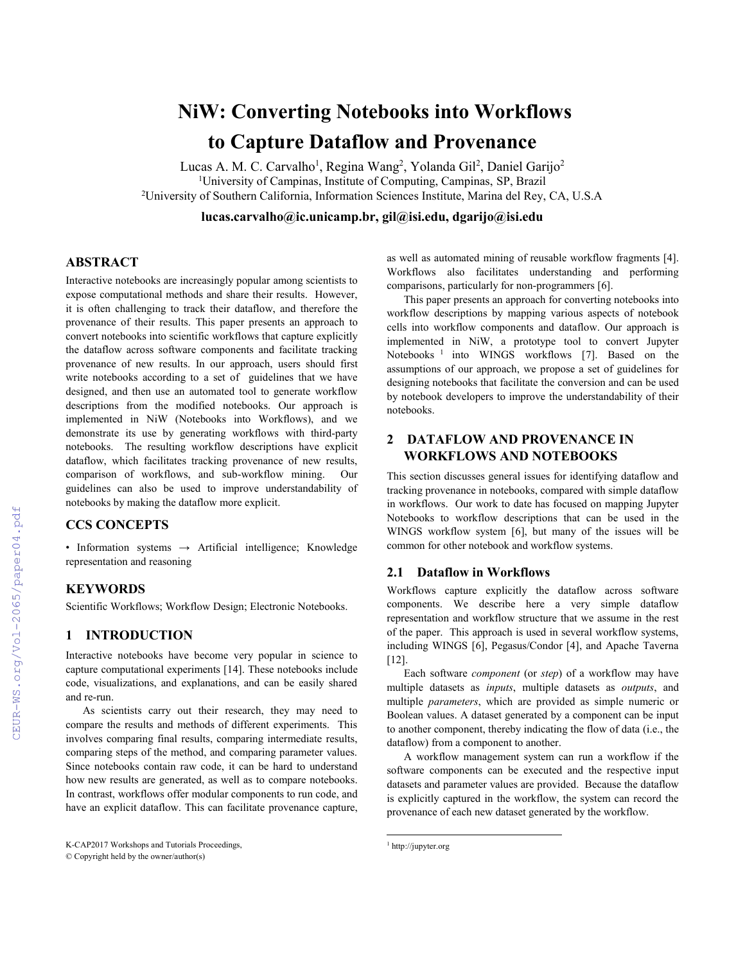# **NiW: Converting Notebooks into Workflows to Capture Dataflow and Provenance**

Lucas A. M. C. Carvalho<sup>1</sup>, Regina Wang<sup>2</sup>, Yolanda Gil<sup>2</sup>, Daniel Garijo<sup>2</sup> <sup>1</sup>University of Campinas, Institute of Computing, Campinas, SP, Brazil <sup>2</sup>University of Southern California, Information Sciences Institute, Marina del Rey, CA, U.S.A

**lucas.carvalho@ic.unicamp.br, gil@isi.edu, dgarijo@isi.edu**

# **ABSTRACT**

Interactive notebooks are increasingly popular among scientists to expose computational methods and share their results. However, it is often challenging to track their dataflow, and therefore the provenance of their results. This paper presents an approach to convert notebooks into scientific workflows that capture explicitly the dataflow across software components and facilitate tracking provenance of new results. In our approach, users should first write notebooks according to a set of guidelines that we have designed, and then use an automated tool to generate workflow descriptions from the modified notebooks. Our approach is implemented in NiW (Notebooks into Workflows), and we demonstrate its use by generating workflows with third-party notebooks. The resulting workflow descriptions have explicit dataflow, which facilitates tracking provenance of new results, comparison of workflows, and sub-workflow mining. Our guidelines can also be used to improve understandability of notebooks by making the dataflow more explicit.

# **CCS CONCEPTS**

• Information systems  $\rightarrow$  Artificial intelligence; Knowledge representation and reasoning

# **KEYWORDS**

Scientific Workflows; Workflow Design; Electronic Notebooks.

# **1 INTRODUCTION**

Interactive notebooks have become very popular in science to capture computational experiments [14]. These notebooks include code, visualizations, and explanations, and can be easily shared and re-run.

As scientists carry out their research, they may need to compare the results and methods of different experiments. This involves comparing final results, comparing intermediate results, comparing steps of the method, and comparing parameter values. Since notebooks contain raw code, it can be hard to understand how new results are generated, as well as to compare notebooks. In contrast, workflows offer modular components to run code, and have an explicit dataflow. This can facilitate provenance capture, as well as automated mining of reusable workflow fragments [4]. Workflows also facilitates understanding and performing comparisons, particularly for non-programmers [6].

This paper presents an approach for converting notebooks into workflow descriptions by mapping various aspects of notebook cells into workflow components and dataflow. Our approach is implemented in NiW, a prototype tool to convert Jupyter Notebooks<sup>1</sup> into WINGS workflows [7]. Based on the assumptions of our approach, we propose a set of guidelines for designing notebooks that facilitate the conversion and can be used by notebook developers to improve the understandability of their notebooks.

# **2 DATAFLOW AND PROVENANCE IN WORKFLOWS AND NOTEBOOKS**

This section discusses general issues for identifying dataflow and tracking provenance in notebooks, compared with simple dataflow in workflows. Our work to date has focused on mapping Jupyter Notebooks to workflow descriptions that can be used in the WINGS workflow system [6], but many of the issues will be common for other notebook and workflow systems.

# **2.1 Dataflow in Workflows**

Workflows capture explicitly the dataflow across software components. We describe here a very simple dataflow representation and workflow structure that we assume in the rest of the paper. This approach is used in several workflow systems, including WINGS [6], Pegasus/Condor [4], and Apache Taverna [12].

Each software *component* (or *step*) of a workflow may have multiple datasets as *inputs*, multiple datasets as *outputs*, and multiple *parameters*, which are provided as simple numeric or Boolean values. A dataset generated by a component can be input to another component, thereby indicating the flow of data (i.e., the dataflow) from a component to another.

A workflow management system can run a workflow if the software components can be executed and the respective input datasets and parameter values are provided. Because the dataflow is explicitly captured in the workflow, the system can record the provenance of each new dataset generated by the workflow.

l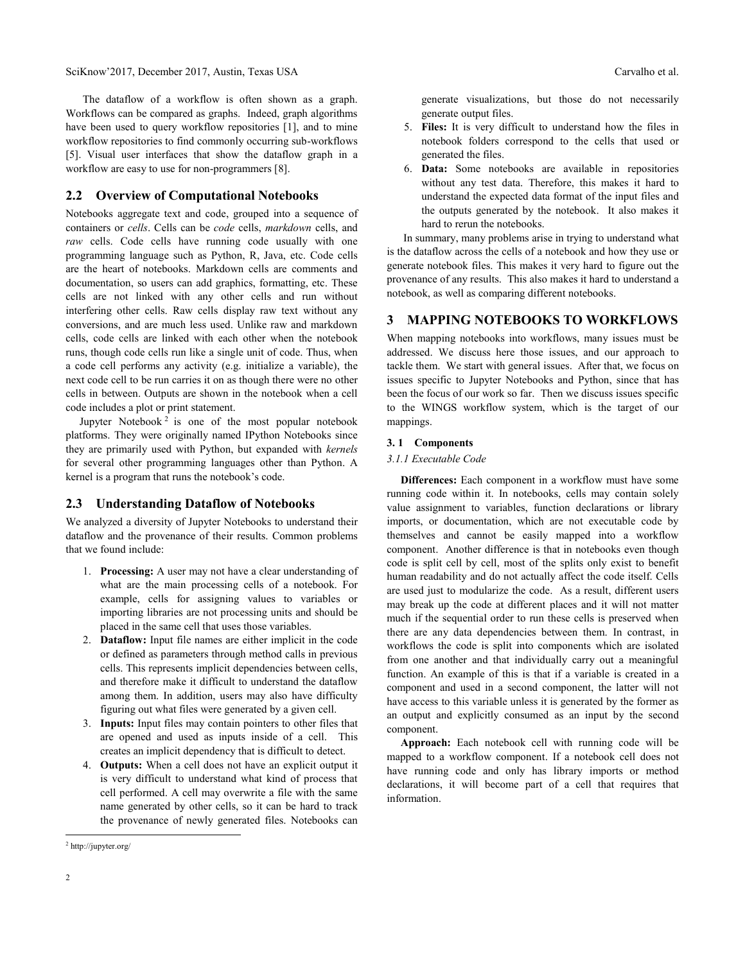# SciKnow'2017, December 2017, Austin, Texas USA Carvalho et al. Carvalho et al.

The dataflow of a workflow is often shown as a graph. Workflows can be compared as graphs. Indeed, graph algorithms have been used to query workflow repositories [1], and to mine workflow repositories to find commonly occurring sub-workflows [5]. Visual user interfaces that show the dataflow graph in a workflow are easy to use for non-programmers [8].

## **2.2 Overview of Computational Notebooks**

Notebooks aggregate text and code, grouped into a sequence of containers or *cells*. Cells can be *code* cells, *markdown* cells, and *raw* cells. Code cells have running code usually with one programming language such as Python, R, Java, etc. Code cells are the heart of notebooks. Markdown cells are comments and documentation, so users can add graphics, formatting, etc. These cells are not linked with any other cells and run without interfering other cells. Raw cells display raw text without any conversions, and are much less used. Unlike raw and markdown cells, code cells are linked with each other when the notebook runs, though code cells run like a single unit of code. Thus, when a code cell performs any activity (e.g. initialize a variable), the next code cell to be run carries it on as though there were no other cells in between. Outputs are shown in the notebook when a cell code includes a plot or print statement.

Jupyter Notebook<sup>2</sup> is one of the most popular notebook platforms. They were originally named IPython Notebooks since they are primarily used with Python, but expanded with *kernels* for several other programming languages other than Python. A kernel is a program that runs the notebook's code.

## **2.3 Understanding Dataflow of Notebooks**

We analyzed a diversity of Jupyter Notebooks to understand their dataflow and the provenance of their results. Common problems that we found include:

- 1. **Processing:** A user may not have a clear understanding of what are the main processing cells of a notebook. For example, cells for assigning values to variables or importing libraries are not processing units and should be placed in the same cell that uses those variables.
- 2. **Dataflow:** Input file names are either implicit in the code or defined as parameters through method calls in previous cells. This represents implicit dependencies between cells, and therefore make it difficult to understand the dataflow among them. In addition, users may also have difficulty figuring out what files were generated by a given cell.
- 3. **Inputs:** Input files may contain pointers to other files that are opened and used as inputs inside of a cell. This creates an implicit dependency that is difficult to detect.
- 4. **Outputs:** When a cell does not have an explicit output it is very difficult to understand what kind of process that cell performed. A cell may overwrite a file with the same name generated by other cells, so it can be hard to track the provenance of newly generated files. Notebooks can

generate visualizations, but those do not necessarily generate output files.

- 5. **Files:** It is very difficult to understand how the files in notebook folders correspond to the cells that used or generated the files.
- 6. **Data:** Some notebooks are available in repositories without any test data. Therefore, this makes it hard to understand the expected data format of the input files and the outputs generated by the notebook. It also makes it hard to rerun the notebooks.

 In summary, many problems arise in trying to understand what is the dataflow across the cells of a notebook and how they use or generate notebook files. This makes it very hard to figure out the provenance of any results. This also makes it hard to understand a notebook, as well as comparing different notebooks.

# **3 MAPPING NOTEBOOKS TO WORKFLOWS**

When mapping notebooks into workflows, many issues must be addressed. We discuss here those issues, and our approach to tackle them. We start with general issues. After that, we focus on issues specific to Jupyter Notebooks and Python, since that has been the focus of our work so far. Then we discuss issues specific to the WINGS workflow system, which is the target of our mappings.

## **3. 1 Components**

#### *3.1.1 Executable Code*

 **Differences:** Each component in a workflow must have some running code within it. In notebooks, cells may contain solely value assignment to variables, function declarations or library imports, or documentation, which are not executable code by themselves and cannot be easily mapped into a workflow component. Another difference is that in notebooks even though code is split cell by cell, most of the splits only exist to benefit human readability and do not actually affect the code itself. Cells are used just to modularize the code. As a result, different users may break up the code at different places and it will not matter much if the sequential order to run these cells is preserved when there are any data dependencies between them. In contrast, in workflows the code is split into components which are isolated from one another and that individually carry out a meaningful function. An example of this is that if a variable is created in a component and used in a second component, the latter will not have access to this variable unless it is generated by the former as an output and explicitly consumed as an input by the second component.

 **Approach:** Each notebook cell with running code will be mapped to a workflow component. If a notebook cell does not have running code and only has library imports or method declarations, it will become part of a cell that requires that information.

l

<sup>2</sup> http://jupyter.org/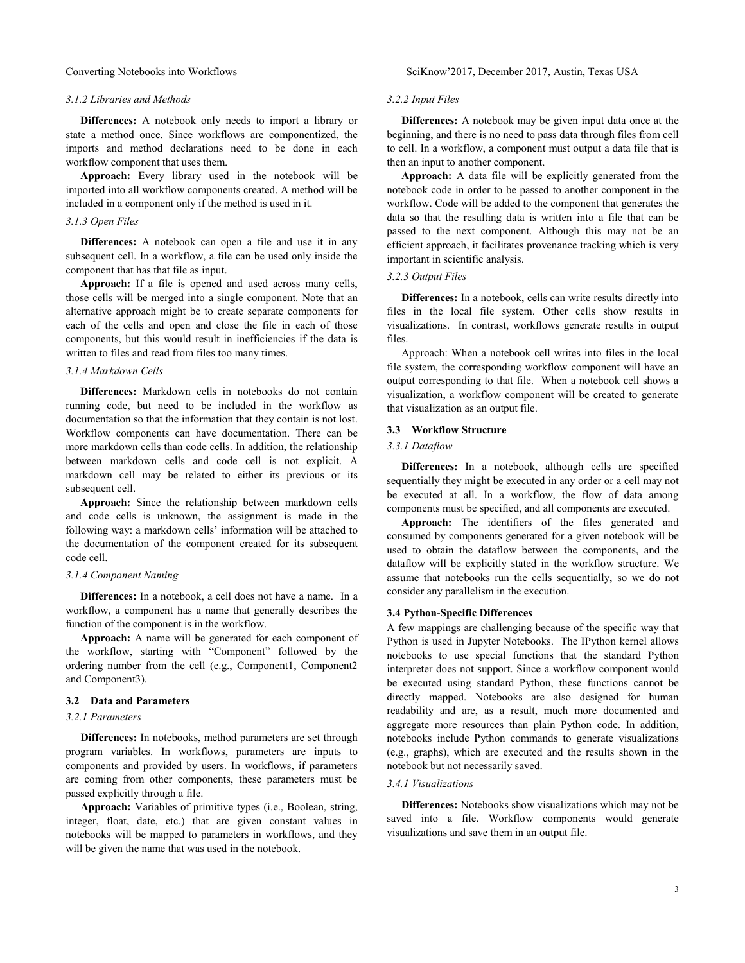#### *3.1.2 Libraries and Methods*

**Differences:** A notebook only needs to import a library or state a method once. Since workflows are componentized, the imports and method declarations need to be done in each workflow component that uses them.

**Approach:** Every library used in the notebook will be imported into all workflow components created. A method will be included in a component only if the method is used in it.

# *3.1.3 Open Files*

**Differences:** A notebook can open a file and use it in any subsequent cell. In a workflow, a file can be used only inside the component that has that file as input.

**Approach:** If a file is opened and used across many cells, those cells will be merged into a single component. Note that an alternative approach might be to create separate components for each of the cells and open and close the file in each of those components, but this would result in inefficiencies if the data is written to files and read from files too many times.

# *3.1.4 Markdown Cells*

**Differences:** Markdown cells in notebooks do not contain running code, but need to be included in the workflow as documentation so that the information that they contain is not lost. Workflow components can have documentation. There can be more markdown cells than code cells. In addition, the relationship between markdown cells and code cell is not explicit. A markdown cell may be related to either its previous or its subsequent cell.

**Approach:** Since the relationship between markdown cells and code cells is unknown, the assignment is made in the following way: a markdown cells' information will be attached to the documentation of the component created for its subsequent code cell.

## *3.1.4 Component Naming*

**Differences:** In a notebook, a cell does not have a name. In a workflow, a component has a name that generally describes the function of the component is in the workflow.

**Approach:** A name will be generated for each component of the workflow, starting with "Component" followed by the ordering number from the cell (e.g., Component1, Component2 and Component3).

## **3.2 Data and Parameters**

## *3.2.1 Parameters*

**Differences:** In notebooks, method parameters are set through program variables. In workflows, parameters are inputs to components and provided by users. In workflows, if parameters are coming from other components, these parameters must be passed explicitly through a file.

**Approach:** Variables of primitive types (i.e., Boolean, string, integer, float, date, etc.) that are given constant values in notebooks will be mapped to parameters in workflows, and they will be given the name that was used in the notebook.

#### *3.2.2 Input Files*

**Differences:** A notebook may be given input data once at the beginning, and there is no need to pass data through files from cell to cell. In a workflow, a component must output a data file that is then an input to another component.

**Approach:** A data file will be explicitly generated from the notebook code in order to be passed to another component in the workflow. Code will be added to the component that generates the data so that the resulting data is written into a file that can be passed to the next component. Although this may not be an efficient approach, it facilitates provenance tracking which is very important in scientific analysis.

#### *3.2.3 Output Files*

**Differences:** In a notebook, cells can write results directly into files in the local file system. Other cells show results in visualizations. In contrast, workflows generate results in output files.

Approach: When a notebook cell writes into files in the local file system, the corresponding workflow component will have an output corresponding to that file. When a notebook cell shows a visualization, a workflow component will be created to generate that visualization as an output file.

#### **3.3 Workflow Structure**

#### *3.3.1 Dataflow*

**Differences:** In a notebook, although cells are specified sequentially they might be executed in any order or a cell may not be executed at all. In a workflow, the flow of data among components must be specified, and all components are executed.

**Approach:** The identifiers of the files generated and consumed by components generated for a given notebook will be used to obtain the dataflow between the components, and the dataflow will be explicitly stated in the workflow structure. We assume that notebooks run the cells sequentially, so we do not consider any parallelism in the execution.

#### **3.4 Python-Specific Differences**

A few mappings are challenging because of the specific way that Python is used in Jupyter Notebooks. The IPython kernel allows notebooks to use special functions that the standard Python interpreter does not support. Since a workflow component would be executed using standard Python, these functions cannot be directly mapped. Notebooks are also designed for human readability and are, as a result, much more documented and aggregate more resources than plain Python code. In addition, notebooks include Python commands to generate visualizations (e.g., graphs), which are executed and the results shown in the notebook but not necessarily saved.

# *3.4.1 Visualizations*

**Differences:** Notebooks show visualizations which may not be saved into a file. Workflow components would generate visualizations and save them in an output file.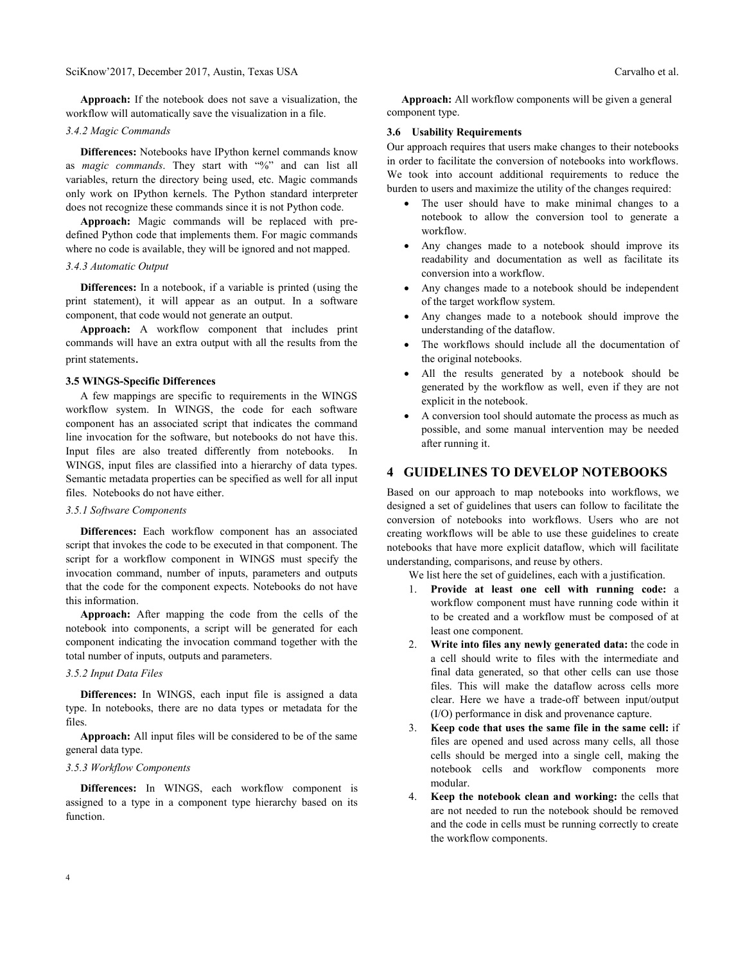# SciKnow'2017, December 2017, Austin, Texas USA Carvalho et al. Carvalho et al.

**Approach:** If the notebook does not save a visualization, the workflow will automatically save the visualization in a file.

#### *3.4.2 Magic Commands*

**Differences:** Notebooks have IPython kernel commands know as *magic commands*. They start with "%" and can list all variables, return the directory being used, etc. Magic commands only work on IPython kernels. The Python standard interpreter does not recognize these commands since it is not Python code.

**Approach:** Magic commands will be replaced with predefined Python code that implements them. For magic commands where no code is available, they will be ignored and not mapped.

## *3.4.3 Automatic Output*

**Differences:** In a notebook, if a variable is printed (using the print statement), it will appear as an output. In a software component, that code would not generate an output.

**Approach:** A workflow component that includes print commands will have an extra output with all the results from the print statements.

#### **3.5 WINGS-Specific Differences**

A few mappings are specific to requirements in the WINGS workflow system. In WINGS, the code for each software component has an associated script that indicates the command line invocation for the software, but notebooks do not have this. Input files are also treated differently from notebooks. In WINGS, input files are classified into a hierarchy of data types. Semantic metadata properties can be specified as well for all input files. Notebooks do not have either.

#### *3.5.1 Software Components*

**Differences:** Each workflow component has an associated script that invokes the code to be executed in that component. The script for a workflow component in WINGS must specify the invocation command, number of inputs, parameters and outputs that the code for the component expects. Notebooks do not have this information.

**Approach:** After mapping the code from the cells of the notebook into components, a script will be generated for each component indicating the invocation command together with the total number of inputs, outputs and parameters.

# *3.5.2 Input Data Files*

**Differences:** In WINGS, each input file is assigned a data type. In notebooks, there are no data types or metadata for the files.

**Approach:** All input files will be considered to be of the same general data type.

#### *3.5.3 Workflow Components*

**Differences:** In WINGS, each workflow component is assigned to a type in a component type hierarchy based on its function.

**Approach:** All workflow components will be given a general component type.

# **3.6 Usability Requirements**

Our approach requires that users make changes to their notebooks in order to facilitate the conversion of notebooks into workflows. We took into account additional requirements to reduce the burden to users and maximize the utility of the changes required:

- The user should have to make minimal changes to a notebook to allow the conversion tool to generate a workflow.
- Any changes made to a notebook should improve its readability and documentation as well as facilitate its conversion into a workflow.
- Any changes made to a notebook should be independent of the target workflow system.
- Any changes made to a notebook should improve the understanding of the dataflow.
- The workflows should include all the documentation of the original notebooks.
- All the results generated by a notebook should be generated by the workflow as well, even if they are not explicit in the notebook.
- A conversion tool should automate the process as much as possible, and some manual intervention may be needed after running it.

# **4 GUIDELINES TO DEVELOP NOTEBOOKS**

Based on our approach to map notebooks into workflows, we designed a set of guidelines that users can follow to facilitate the conversion of notebooks into workflows. Users who are not creating workflows will be able to use these guidelines to create notebooks that have more explicit dataflow, which will facilitate understanding, comparisons, and reuse by others.

We list here the set of guidelines, each with a justification.

- 1. **Provide at least one cell with running code:** a workflow component must have running code within it to be created and a workflow must be composed of at least one component.
- 2. **Write into files any newly generated data:** the code in a cell should write to files with the intermediate and final data generated, so that other cells can use those files. This will make the dataflow across cells more clear. Here we have a trade-off between input/output (I/O) performance in disk and provenance capture.
- 3. **Keep code that uses the same file in the same cell:** if files are opened and used across many cells, all those cells should be merged into a single cell, making the notebook cells and workflow components more modular.
- 4. **Keep the notebook clean and working:** the cells that are not needed to run the notebook should be removed and the code in cells must be running correctly to create the workflow components.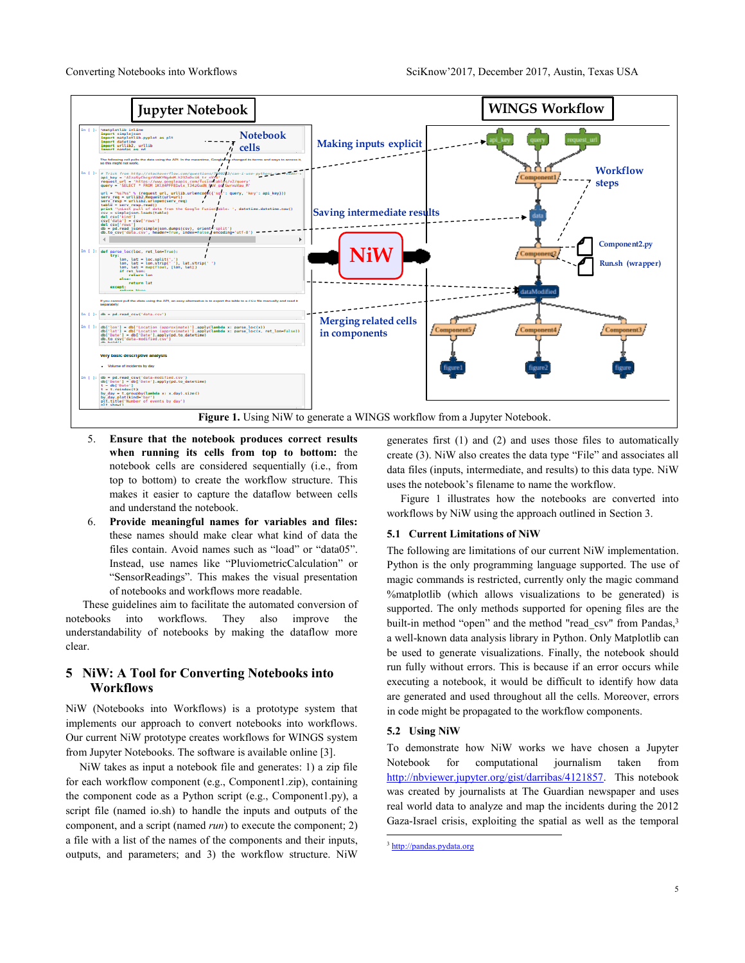

- 5. **Ensure that the notebook produces correct results when running its cells from top to bottom:** the notebook cells are considered sequentially (i.e., from top to bottom) to create the workflow structure. This makes it easier to capture the dataflow between cells and understand the notebook.
- 6. **Provide meaningful names for variables and files:** these names should make clear what kind of data the files contain. Avoid names such as "load" or "data05". Instead, use names like "PluviometricCalculation" or "SensorReadings". This makes the visual presentation of notebooks and workflows more readable.

These guidelines aim to facilitate the automated conversion of notebooks into workflows. They also improve the understandability of notebooks by making the dataflow more clear.

# **5 NiW: A Tool for Converting Notebooks into Workflows**

NiW (Notebooks into Workflows) is a prototype system that implements our approach to convert notebooks into workflows. Our current NiW prototype creates workflows for WINGS system from Jupyter Notebooks. The software is available online [3].

 NiW takes as input a notebook file and generates: 1) a zip file for each workflow component (e.g., Component1.zip), containing the component code as a Python script (e.g., Component1.py), a script file (named io.sh) to handle the inputs and outputs of the component, and a script (named *run*) to execute the component; 2) a file with a list of the names of the components and their inputs, outputs, and parameters; and 3) the workflow structure. NiW

generates first (1) and (2) and uses those files to automatically create (3). NiW also creates the data type "File" and associates all data files (inputs, intermediate, and results) to this data type. NiW uses the notebook's filename to name the workflow.

 Figure 1 illustrates how the notebooks are converted into workflows by NiW using the approach outlined in Section 3.

## **5.1 Current Limitations of NiW**

The following are limitations of our current NiW implementation. Python is the only programming language supported. The use of magic commands is restricted, currently only the magic command %matplotlib (which allows visualizations to be generated) is supported. The only methods supported for opening files are the built-in method "open" and the method "read csv" from Pandas,<sup>3</sup> a well-known data analysis library in Python. Only Matplotlib can be used to generate visualizations. Finally, the notebook should run fully without errors. This is because if an error occurs while executing a notebook, it would be difficult to identify how data are generated and used throughout all the cells. Moreover, errors in code might be propagated to the workflow components.

#### **5.2 Using NiW**

To demonstrate how NiW works we have chosen a Jupyter Notebook for computational journalism taken from [http://nbviewer.jupyter.org/gist/darribas/4121857.](http://nbviewer.jupyter.org/gist/darribas/4121857) This notebook was created by journalists at The Guardian newspaper and uses real world data to analyze and map the incidents during the 2012 Gaza-Israel crisis, exploiting the spatial as well as the temporal

l

<sup>3</sup> [http://pandas.pydata.org](http://pandas.pydata.org/)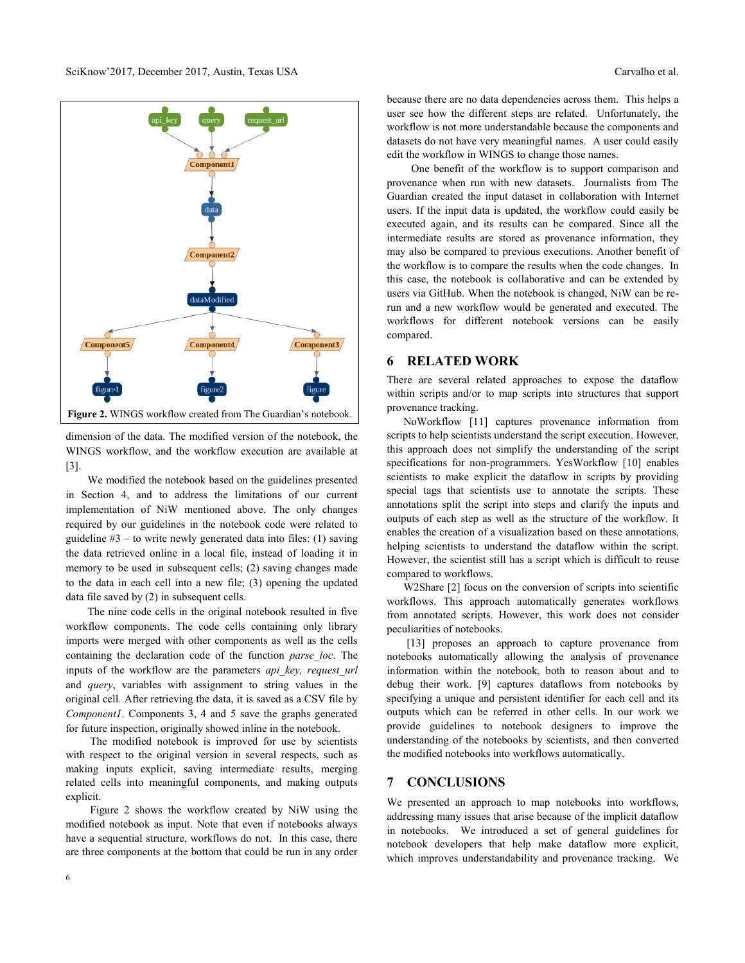

dimension of the data. The modified version of the notebook, the WINGS workflow, and the workflow execution are available at [3].

We modified the notebook based on the guidelines presented in Section 4, and to address the limitations of our current implementation of NiW mentioned above. The only changes required by our guidelines in the notebook code were related to guideline  $#3$  – to write newly generated data into files: (1) saving the data retrieved online in a local file, instead of loading it in memory to be used in subsequent cells; (2) saving changes made to the data in each cell into a new file; (3) opening the updated data file saved by (2) in subsequent cells.

The nine code cells in the original notebook resulted in five workflow components. The code cells containing only library imports were merged with other components as well as the cells containing the declaration code of the function *parse\_loc*. The inputs of the workflow are the parameters *api\_key, request\_url* and *query*, variables with assignment to string values in the original cell*.* After retrieving the data, it is saved as a CSV file by *Component1*. Components 3, 4 and 5 save the graphs generated for future inspection, originally showed inline in the notebook.

The modified notebook is improved for use by scientists with respect to the original version in several respects, such as making inputs explicit, saving intermediate results, merging related cells into meaningful components, and making outputs explicit.

Figure 2 shows the workflow created by NiW using the modified notebook as input. Note that even if notebooks always have a sequential structure, workflows do not. In this case, there are three components at the bottom that could be run in any order because there are no data dependencies across them. This helps a user see how the different steps are related. Unfortunately, the workflow is not more understandable because the components and datasets do not have very meaningful names. A user could easily edit the workflow in WINGS to change those names.

One benefit of the workflow is to support comparison and provenance when run with new datasets. Journalists from The Guardian created the input dataset in collaboration with Internet users. If the input data is updated, the workflow could easily be executed again, and its results can be compared. Since all the intermediate results are stored as provenance information, they may also be compared to previous executions. Another benefit of the workflow is to compare the results when the code changes. In this case, the notebook is collaborative and can be extended by users via GitHub. When the notebook is changed, NiW can be rerun and a new workflow would be generated and executed. The workflows for different notebook versions can be easily compared.

# **6 RELATED WORK**

There are several related approaches to expose the dataflow within scripts and/or to map scripts into structures that support provenance tracking.

 NoWorkflow [11] captures provenance information from scripts to help scientists understand the script execution. However, this approach does not simplify the understanding of the script specifications for non-programmers. YesWorkflow [10] enables scientists to make explicit the dataflow in scripts by providing special tags that scientists use to annotate the scripts. These annotations split the script into steps and clarify the inputs and outputs of each step as well as the structure of the workflow. It enables the creation of a visualization based on these annotations, helping scientists to understand the dataflow within the script. However, the scientist still has a script which is difficult to reuse compared to workflows.

W2Share [2] focus on the conversion of scripts into scientific workflows. This approach automatically generates workflows from annotated scripts. However, this work does not consider peculiarities of notebooks.

[13] proposes an approach to capture provenance from notebooks automatically allowing the analysis of provenance information within the notebook, both to reason about and to debug their work. [9] captures dataflows from notebooks by specifying a unique and persistent identifier for each cell and its outputs which can be referred in other cells. In our work we provide guidelines to notebook designers to improve the understanding of the notebooks by scientists, and then converted the modified notebooks into workflows automatically.

# **7 CONCLUSIONS**

We presented an approach to map notebooks into workflows, addressing many issues that arise because of the implicit dataflow in notebooks. We introduced a set of general guidelines for notebook developers that help make dataflow more explicit, which improves understandability and provenance tracking. We